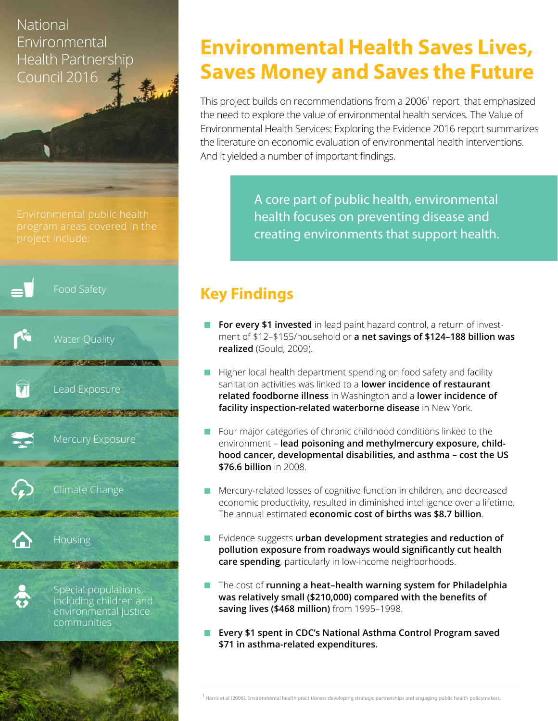### National **Environmental** Health Partnership Council 2016

Environmental public health



# **Environmental Health Saves Lives, Saves Money and Saves the Future**

This project builds on recommendations from a 2006<sup>1</sup> report that emphasized the need to explore the value of environmental health services. The Value of Environmental Health Services: Exploring the Evidence 2016 report summarizes the literature on economic evaluation of environmental health interventions. And it yielded a number of important findings.

> A core part of public health, environmental health focuses on preventing disease and creating environments that support health.

## **Key Findings**

- **For every \$1 invested** in lead paint hazard control, a return of investment of \$12–\$155/household or **a net savings of \$124–188 billion was realized** (Gould, 2009).
- Higher local health department spending on food safety and facility sanitation activities was linked to a **lower incidence of restaurant related foodborne illness** in Washington and a **lower incidence of facility inspection-related waterborne disease** in New York.
- Four major categories of chronic childhood conditions linked to the environment – **lead poisoning and methylmercury exposure, childhood cancer, developmental disabilities, and asthma – cost the US \$76.6 billion** in 2008.
- **Mercury-related losses of cognitive function in children, and decreased** economic productivity, resulted in diminished intelligence over a lifetime. The annual estimated **economic cost of births was \$8.7 billion**.
- **EXIM** Evidence suggests **urban development strategies and reduction of pollution exposure from roadways would significantly cut health care spending**, particularly in low-income neighborhoods.
- The cost of **running a heat-health warning system for Philadelphia was relatively small (\$210,000) compared with the benefits of saving lives (\$468 million)** from 1995–1998.
- **Every \$1 spent in CDC's National Asthma Control Program saved \$71 in asthma-related expenditures.**

<sup>1</sup> Harris et al (2006). Environmental health practitioners developing strategic partnerships and engaging public health policymakers.